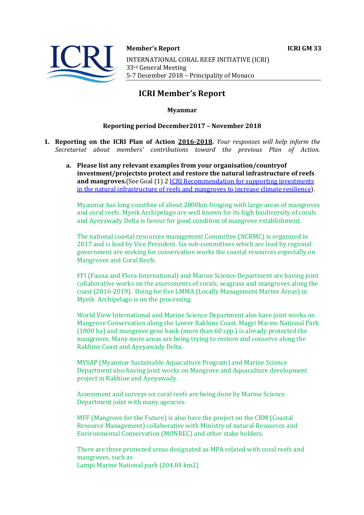



**Member's Report ICRI GM 33** 

INTERNATIONAL CORAL REEF INITIATIVE (ICRI) 33rd General Meeting 5-7 December 2018 - Principality of Monaco

# **ICRI Member's Report**

# **Myanmar**

# **Reporting period December2017 - November 2018**

- **1. Reporting on the ICRI Plan of Action 2016-2018.** *Your responses will help inform the Secretariat about members' contributions toward the previous Plan of Action.*
	- a. Please list any relevant examples from your organisation/countryof investment/projectsto protect and restore the natural infrastructure of reefs **and mangroves.** (See Goal (1) 2 *ICRI Recommendation for supporting investments* in the natural infrastructure of reefs and mangroves to increase climate resilience).

Myanmar has long coastline of about 2800km fringing with large areas of mangroves and coral reefs. Myeik Archipelago are well known for its high biodiversity of corals and Ayeyawady Delta is favour for good condition of mangrove establishment.

The national coastal resources management Committee (NCRMC) is organized in 2017 and is lead by Vice President. Six sub-committees which are lead by regional government are seeking for conservation works the coastal resources especially on Mangroves and Coral Reefs.

FFI (Fauna and Flora International) and Marine Science Department are having joint collaborative works on the assessments of corals, seagrass and mangroves along the coast (2016-2019). Doing for five LMMA (Locally Management Marine Areas) in Myeik Archipelago is on the processing.

World View International and Marine Science Department also have joint works on Mangrove Conservation along the Lower Rakhine Coast. Magyi Marine National Park (1800 ha) and mangrove gene bank (more than  $60$  spp.) is already protected the mangroves. Many more areas are being trying to restore and conserve along the Rakhine Coast and Ayeyawady Delta.

MYSAP (Myanmar Sustainable Aquaculture Program) and Marine Science Department also having joint works on Mangrove and Aquaculture development project in Rakhine and Ayeyawady.

Assessment and surveys on coral reefs are being done by Marine Science Department joint with many agencies.

MFF (Mangrove for the Future) is also have the project on the CRM (Coastal Resource Management) collaborative with Ministry of natural Resources and Environmental Conservation (MONREC) and other stake holders.

There are three protected areas designated as MPA related with coral reefs and mangroves, such as Lampi Marine National park (204.84 km2)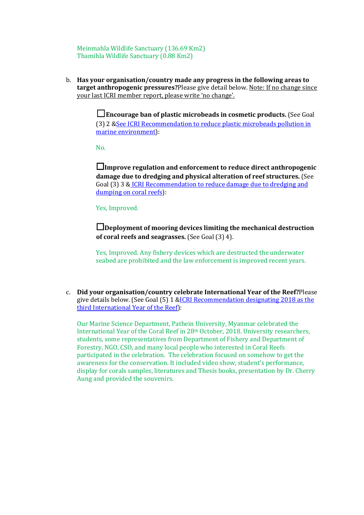Meinmahla Wildlife Sanctuary (136.69 Km2) Thamihla Wildlife Sanctuary (0.88 Km2)

b. Has your organisation/country made any progress in the following areas to **target anthropogenic pressures?**Please give detail below. Note: If no change since your last ICRI member report, please write 'no change'.

> □Encourage ban of plastic microbeads in cosmetic products. (See Goal (3) 2 & See ICRI Recommendation to reduce plastic microbeads pollution in marine environment):

 $N<sub>0</sub>$ 

□Improve regulation and enforcement to reduce direct anthropogenic damage due to dredging and physical alteration of reef structures. (See Goal (3) 3 & ICRI Recommendation to reduce damage due to dredging and dumping on coral reefs):

Yes, Improved.

□Deployment of mooring devices limiting the mechanical destruction **of coral reefs and seagrasses.** (See Goal (3) 4).

Yes, Improved. Any fishery devices which are destructed the underwater seabed are prohibited and the law enforcement is improved recent years.

c. **Did your organisation/country celebrate International Year of the Reef?**Please give details below. (See Goal  $(5)$  1 &ICRI Recommendation designating 2018 as the third International Year of the Reef):

Our Marine Science Department, Pathein University, Myanmar celebrated the International Year of the Coral Reef in  $28<sup>th</sup>$  October, 2018. University researchers, students, some representatives from Department of Fishery and Department of Forestry, NGO, CSO, and many local people who interested in Coral Reefs participated in the celebration. The celebration focused on somehow to get the awareness for the conservation. It included video show, student's performance, display for corals samples, literatures and Thesis books, presentation by Dr. Cherry Aung and provided the souvenirs.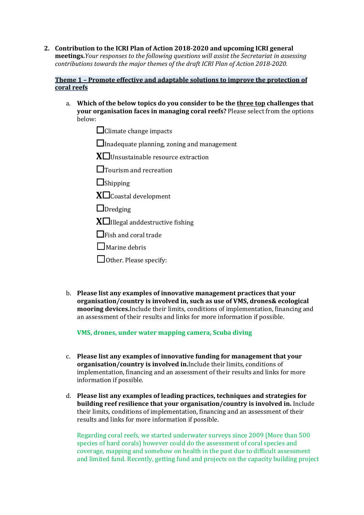**2.** Contribution to the ICRI Plan of Action 2018-2020 and upcoming ICRI general **meetings.***Your responses to the following questions will assist the Secretariat in assessing contributions towards the major themes of the draft ICRI Plan of Action 2018-2020.* 

### **Theme 1 - Promote effective and adaptable solutions to improve the protection of coral reefs**

- a. Which of the below topics do you consider to be the three top challenges that **your organisation faces in managing coral reefs?** Please select from the options below:
	- $\Box$ Climate change impacts

 $\Box$ Inadequate planning, zoning and management

**X**□Unsustainable resource extraction

□Tourism and recreation

□Shipping

 $X\square$ Coastal development

 $\Box$ Dredging

**X** $\Box$ Illegal anddestructive fishing

 $\Box$ Fish and coral trade

 $\Box$  Marine debris

□ Other. Please specify:

b. **Please list any examples of innovative management practices that your organisation/country is involved in, such as use of VMS, drones& ecological mooring devices.**Include their limits, conditions of implementation, financing and an assessment of their results and links for more information if possible.

**VMS, drones, under water mapping camera, Scuba diving** 

- c. Please list any examples of innovative funding for management that your organisation/country is involved in.Include their limits, conditions of implementation, financing and an assessment of their results and links for more information if possible.
- d. Please list any examples of leading practices, techniques and strategies for **building reef resilience that your organisation/country is involved in.** Include their limits, conditions of implementation, financing and an assessment of their results and links for more information if possible.

Regarding coral reefs, we started underwater surveys since 2009 (More than 500) species of hard corals) however could do the assessment of coral species and coverage, mapping and somehow on health in the past due to difficult assessment and limited fund. Recently, getting fund and projects on the capacity building project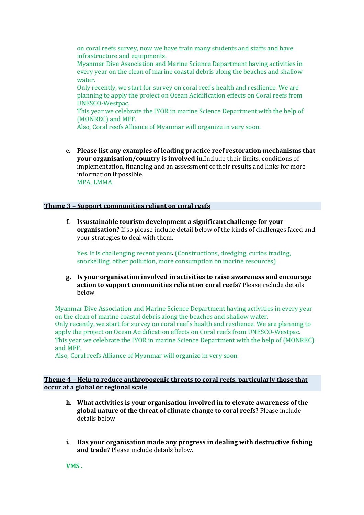on coral reefs survey, now we have train many students and staffs and have infrastructure and equipments.

Myanmar Dive Association and Marine Science Department having activities in every year on the clean of marine coastal debris along the beaches and shallow water. 

Only recently, we start for survey on coral reef s health and resilience. We are planning to apply the project on Ocean Acidification effects on Coral reefs from UNESCO-Westpac. 

This year we celebrate the IYOR in marine Science Department with the help of (MONREC) and MFF.

Also, Coral reefs Alliance of Myanmar will organize in very soon.

e. Please list any examples of leading practice reef restoration mechanisms that **your organisation/country is involved in.**Include their limits, conditions of implementation, financing and an assessment of their results and links for more information if possible. MPA, LMMA

#### **Theme 3 - Support communities reliant on coral reefs**

**f. Issustainable tourism development a significant challenge for your organisation?** If so please include detail below of the kinds of challenges faced and your strategies to deal with them.

Yes. It is challenging recent years. (Constructions, dredging, curios trading, snorkelling, other pollution, more consumption on marine resources)

**g. Is your organisation involved in activities to raise awareness and encourage action to support communities reliant on coral reefs?** Please include details below.

Myanmar Dive Association and Marine Science Department having activities in every year on the clean of marine coastal debris along the beaches and shallow water. Only recently, we start for survey on coral reef s health and resilience. We are planning to apply the project on Ocean Acidification effects on Coral reefs from UNESCO-Westpac. This year we celebrate the IYOR in marine Science Department with the help of (MONREC) and MFF.

Also, Coral reefs Alliance of Myanmar will organize in very soon.

#### **Theme 4 - Help to reduce anthropogenic threats to coral reefs, particularly those that occur at a global or regional scale**

- h. What activities is your organisation involved in to elevate awareness of the global nature of the threat of climate change to coral reefs? Please include details below
- **i.** Has your organisation made any progress in dealing with destructive fishing **and trade?** Please include details below.

**VMS**.